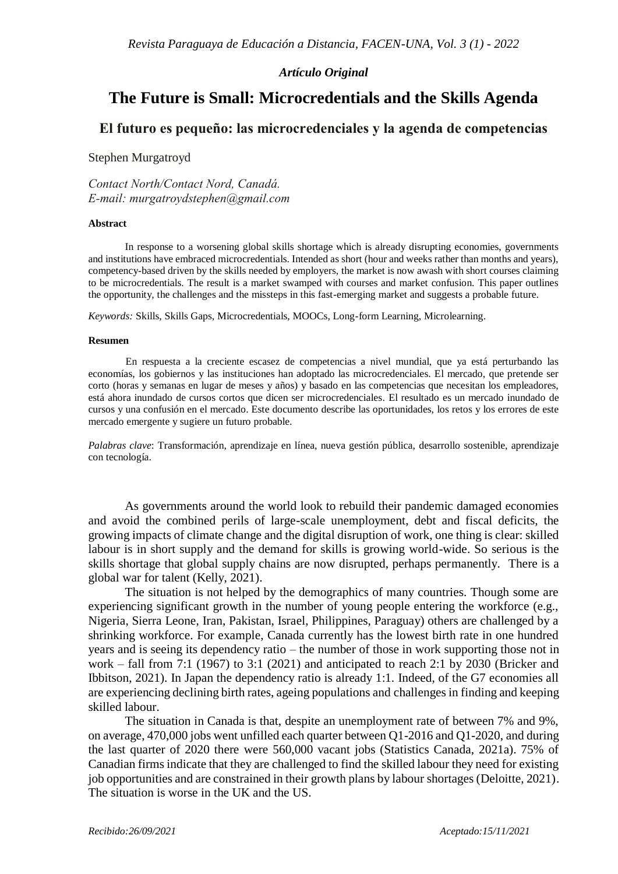### *Artículo Original*

# **The Future is Small: Microcredentials and the Skills Agenda**

## **El futuro es pequeño: las microcredenciales y la agenda de competencias**

#### Stephen Murgatroyd

*Contact North/Contact Nord, Canadá. E-mail: murgatroydstephen@gmail.com*

#### **Abstract**

In response to a worsening global skills shortage which is already disrupting economies, governments and institutions have embraced microcredentials. Intended as short (hour and weeks rather than months and years), competency-based driven by the skills needed by employers, the market is now awash with short courses claiming to be microcredentials. The result is a market swamped with courses and market confusion. This paper outlines the opportunity, the challenges and the missteps in this fast-emerging market and suggests a probable future.

*Keywords:* Skills, Skills Gaps, Microcredentials, MOOCs, Long-form Learning, Microlearning.

#### **Resumen**

En respuesta a la creciente escasez de competencias a nivel mundial, que ya está perturbando las economías, los gobiernos y las instituciones han adoptado las microcredenciales. El mercado, que pretende ser corto (horas y semanas en lugar de meses y años) y basado en las competencias que necesitan los empleadores, está ahora inundado de cursos cortos que dicen ser microcredenciales. El resultado es un mercado inundado de cursos y una confusión en el mercado. Este documento describe las oportunidades, los retos y los errores de este mercado emergente y sugiere un futuro probable.

*Palabras clave*: Transformación, aprendizaje en línea, nueva gestión pública, desarrollo sostenible, aprendizaje con tecnología.

As governments around the world look to rebuild their pandemic damaged economies and avoid the combined perils of large-scale unemployment, debt and fiscal deficits, the growing impacts of climate change and the digital disruption of work, one thing is clear: skilled labour is in short supply and the demand for skills is growing world-wide. So serious is the skills shortage that global supply chains are now disrupted, perhaps permanently. There is a global war for talent (Kelly, 2021).

The situation is not helped by the demographics of many countries. Though some are experiencing significant growth in the number of young people entering the workforce (e.g., Nigeria, Sierra Leone, Iran, Pakistan, Israel, Philippines, Paraguay) others are challenged by a shrinking workforce. For example, Canada currently has the lowest birth rate in one hundred years and is seeing its dependency ratio – the number of those in work supporting those not in work – fall from 7:1 (1967) to 3:1 (2021) and anticipated to reach 2:1 by 2030 (Bricker and Ibbitson, 2021). In Japan the dependency ratio is already 1:1. Indeed, of the G7 economies all are experiencing declining birth rates, ageing populations and challenges in finding and keeping skilled labour.

The situation in Canada is that, despite an unemployment rate of between 7% and 9%, on average, 470,000 jobs went unfilled each quarter between Q1-2016 and Q1-2020, and during the last quarter of 2020 there were 560,000 vacant jobs (Statistics Canada, 2021a). 75% of Canadian firms indicate that they are challenged to find the skilled labour they need for existing job opportunities and are constrained in their growth plans by labour shortages (Deloitte, 2021). The situation is worse in the UK and the US.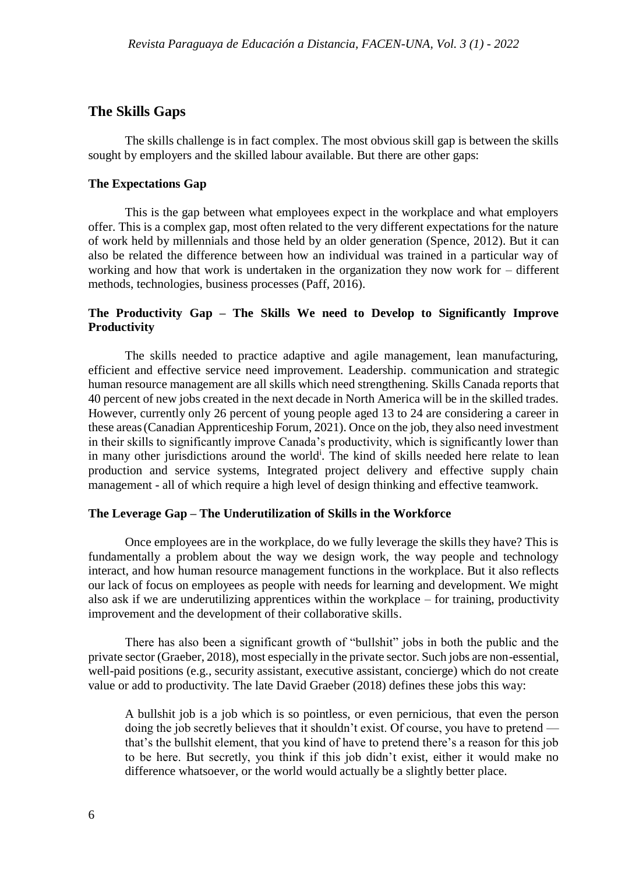## **The Skills Gaps**

The skills challenge is in fact complex. The most obvious skill gap is between the skills sought by employers and the skilled labour available. But there are other gaps:

### **The Expectations Gap**

This is the gap between what employees expect in the workplace and what employers offer. This is a complex gap, most often related to the very different expectations for the nature of work held by millennials and those held by an older generation (Spence, 2012). But it can also be related the difference between how an individual was trained in a particular way of working and how that work is undertaken in the organization they now work for – different methods, technologies, business processes (Paff, 2016).

## **The Productivity Gap – The Skills We need to Develop to Significantly Improve Productivity**

The skills needed to practice adaptive and agile management, lean manufacturing, efficient and effective service need improvement. Leadership. communication and strategic human resource management are all skills which need strengthening. Skills Canada reports that 40 percent of new jobs created in the next decade in North America will be in the skilled trades. However, currently only 26 percent of young people aged 13 to 24 are considering a career in these areas(Canadian Apprenticeship Forum, 2021). Once on the job, they also need investment in their skills to significantly improve Canada's productivity, which is significantly lower than in many other jurisdictions around the world<sup>i</sup>. The kind of skills needed here relate to lean production and service systems, Integrated project delivery and effective supply chain management - all of which require a high level of design thinking and effective teamwork.

### **The Leverage Gap – The Underutilization of Skills in the Workforce**

Once employees are in the workplace, do we fully leverage the skills they have? This is fundamentally a problem about the way we design work, the way people and technology interact, and how human resource management functions in the workplace. But it also reflects our lack of focus on employees as people with needs for learning and development. We might also ask if we are underutilizing apprentices within the workplace – for training, productivity improvement and the development of their collaborative skills.

There has also been a significant growth of "bullshit" jobs in both the public and the private sector (Graeber, 2018), most especially in the private sector. Such jobs are non-essential, well-paid positions (e.g., security assistant, executive assistant, concierge) which do not create value or add to productivity. The late David Graeber (2018) defines these jobs this way:

A bullshit job is a job which is so pointless, or even pernicious, that even the person doing the job secretly believes that it shouldn't exist. Of course, you have to pretend that's the bullshit element, that you kind of have to pretend there's a reason for this job to be here. But secretly, you think if this job didn't exist, either it would make no difference whatsoever, or the world would actually be a slightly better place.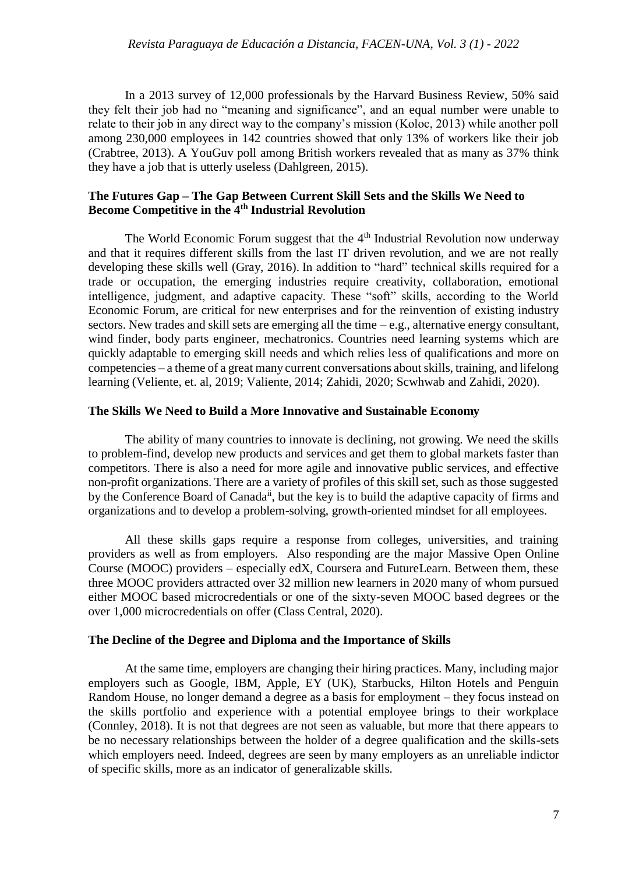In a 2013 survey of 12,000 professionals by the Harvard Business Review, 50% said they felt their job had no "meaning and significance", and an equal number were unable to relate to their job in any direct way to the company's mission (Koloc, 2013) while another poll among 230,000 employees in 142 countries showed that only 13% of workers like their job (Crabtree, 2013). A YouGuv poll among British workers revealed that as many as 37% think they have a job that is utterly useless (Dahlgreen, 2015).

### **The Futures Gap – The Gap Between Current Skill Sets and the Skills We Need to Become Competitive in the 4th Industrial Revolution**

The World Economic Forum suggest that the  $4<sup>th</sup>$  Industrial Revolution now underway and that it requires different skills from the last IT driven revolution, and we are not really developing these skills well (Gray, 2016). In addition to "hard" technical skills required for a trade or occupation, the emerging industries require creativity, collaboration, emotional intelligence, judgment, and adaptive capacity. These "soft" skills, according to the World Economic Forum, are critical for new enterprises and for the reinvention of existing industry sectors. New trades and skill sets are emerging all the time – e.g., alternative energy consultant, wind finder, body parts engineer, mechatronics. Countries need learning systems which are quickly adaptable to emerging skill needs and which relies less of qualifications and more on competencies – a theme of a great many current conversations about skills, training, and lifelong learning (Veliente, et. al, 2019; Valiente, 2014; Zahidi, 2020; Scwhwab and Zahidi, 2020).

### **The Skills We Need to Build a More Innovative and Sustainable Economy**

The ability of many countries to innovate is declining, not growing. We need the skills to problem-find, develop new products and services and get them to global markets faster than competitors. There is also a need for more agile and innovative public services, and effective non-profit organizations. There are a variety of profiles of this skill set, such as those suggested by the Conference Board of Canada<sup>ii</sup>, but the key is to build the adaptive capacity of firms and organizations and to develop a problem-solving, growth-oriented mindset for all employees.

All these skills gaps require a response from colleges, universities, and training providers as well as from employers. Also responding are the major Massive Open Online Course (MOOC) providers – especially edX, Coursera and FutureLearn. Between them, these three MOOC providers attracted over 32 million new learners in 2020 many of whom pursued either MOOC based microcredentials or one of the sixty-seven MOOC based degrees or the over 1,000 microcredentials on offer (Class Central, 2020).

### **The Decline of the Degree and Diploma and the Importance of Skills**

At the same time, employers are changing their hiring practices. Many, including major employers such as Google, IBM, Apple, EY (UK), Starbucks, Hilton Hotels and Penguin Random House, no longer demand a degree as a basis for employment – they focus instead on the skills portfolio and experience with a potential employee brings to their workplace (Connley, 2018). It is not that degrees are not seen as valuable, but more that there appears to be no necessary relationships between the holder of a degree qualification and the skills-sets which employers need. Indeed, degrees are seen by many employers as an unreliable indictor of specific skills, more as an indicator of generalizable skills.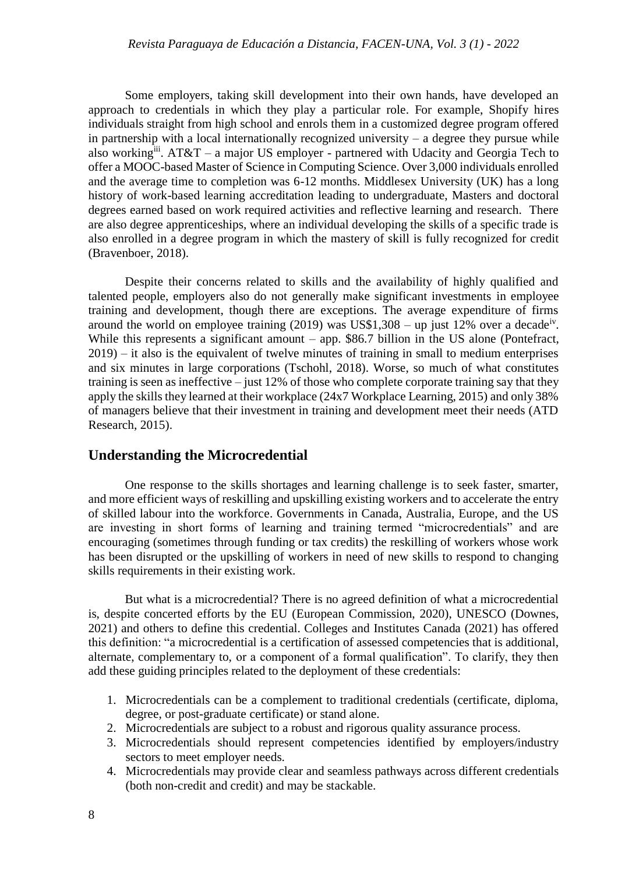Some employers, taking skill development into their own hands, have developed an approach to credentials in which they play a particular role. For example, Shopify hires individuals straight from high school and enrols them in a customized degree program offered in partnership with a local internationally recognized university  $-$  a degree they pursue while also working<sup>iii</sup>. AT&T – a major US employer - partnered with Udacity and Georgia Tech to offer a MOOC-based Master of Science in Computing Science. Over 3,000 individuals enrolled and the average time to completion was 6-12 months. Middlesex University (UK) has a long history of work-based learning accreditation leading to undergraduate, Masters and doctoral degrees earned based on work required activities and reflective learning and research. There are also degree apprenticeships, where an individual developing the skills of a specific trade is also enrolled in a degree program in which the mastery of skill is fully recognized for credit (Bravenboer, 2018).

Despite their concerns related to skills and the availability of highly qualified and talented people, employers also do not generally make significant investments in employee training and development, though there are exceptions. The average expenditure of firms around the world on employee training  $(2019)$  was US\$1,308 – up just 12% over a decade<sup>iv</sup>. While this represents a significant amount – app. \$86.7 billion in the US alone (Pontefract, 2019) – it also is the equivalent of twelve minutes of training in small to medium enterprises and six minutes in large corporations (Tschohl, 2018). Worse, so much of what constitutes training is seen as ineffective – just 12% of those who complete corporate training say that they apply the skills they learned at their workplace (24x7 Workplace Learning, 2015) and only 38% of managers believe that their investment in training and development meet their needs (ATD Research, 2015).

### **Understanding the Microcredential**

One response to the skills shortages and learning challenge is to seek faster, smarter, and more efficient ways of reskilling and upskilling existing workers and to accelerate the entry of skilled labour into the workforce. Governments in Canada, Australia, Europe, and the US are investing in short forms of learning and training termed "microcredentials" and are encouraging (sometimes through funding or tax credits) the reskilling of workers whose work has been disrupted or the upskilling of workers in need of new skills to respond to changing skills requirements in their existing work.

But what is a microcredential? There is no agreed definition of what a microcredential is, despite concerted efforts by the EU (European Commission, 2020), UNESCO (Downes, 2021) and others to define this credential. Colleges and Institutes Canada (2021) has offered this definition: "a microcredential is a certification of assessed competencies that is additional, alternate, complementary to, or a component of a formal qualification". To clarify, they then add these guiding principles related to the deployment of these credentials:

- 1. Microcredentials can be a complement to traditional credentials (certificate, diploma, degree, or post-graduate certificate) or stand alone.
- 2. Microcredentials are subject to a robust and rigorous quality assurance process.
- 3. Microcredentials should represent competencies identified by employers/industry sectors to meet employer needs.
- 4. Microcredentials may provide clear and seamless pathways across different credentials (both non-credit and credit) and may be stackable.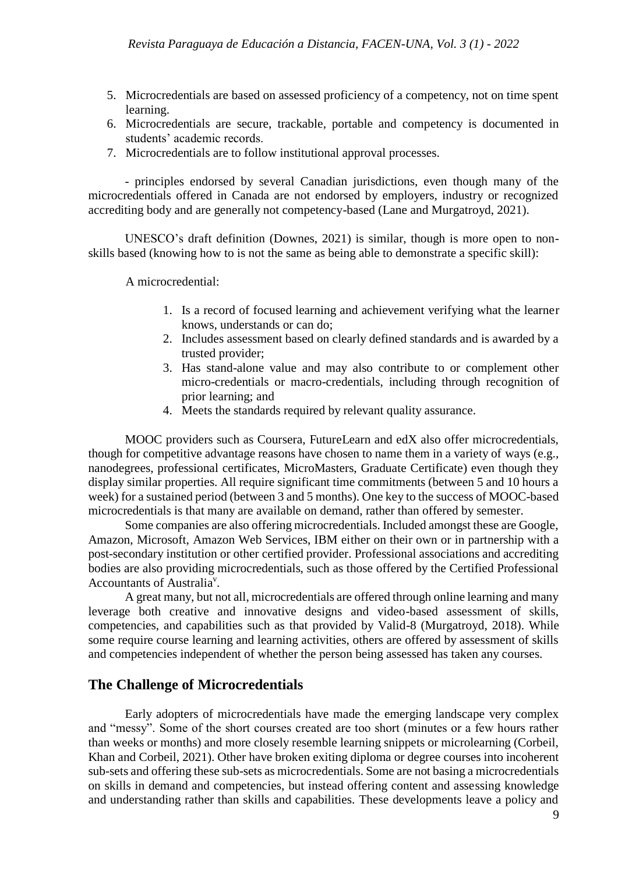- 5. Microcredentials are based on assessed proficiency of a competency, not on time spent learning.
- 6. Microcredentials are secure, trackable, portable and competency is documented in students' academic records.
- 7. Microcredentials are to follow institutional approval processes.

- principles endorsed by several Canadian jurisdictions, even though many of the microcredentials offered in Canada are not endorsed by employers, industry or recognized accrediting body and are generally not competency-based (Lane and Murgatroyd, 2021).

UNESCO's draft definition (Downes, 2021) is similar, though is more open to nonskills based (knowing how to is not the same as being able to demonstrate a specific skill):

A microcredential:

- 1. Is a record of focused learning and achievement verifying what the learner knows, understands or can do;
- 2. Includes assessment based on clearly defined standards and is awarded by a trusted provider;
- 3. Has stand-alone value and may also contribute to or complement other micro-credentials or macro-credentials, including through recognition of prior learning; and
- 4. Meets the standards required by relevant quality assurance.

MOOC providers such as Coursera, FutureLearn and edX also offer microcredentials, though for competitive advantage reasons have chosen to name them in a variety of ways (e.g., nanodegrees, professional certificates, MicroMasters, Graduate Certificate) even though they display similar properties. All require significant time commitments (between 5 and 10 hours a week) for a sustained period (between 3 and 5 months). One key to the success of MOOC-based microcredentials is that many are available on demand, rather than offered by semester.

Some companies are also offering microcredentials. Included amongst these are Google, Amazon, Microsoft, Amazon Web Services, IBM either on their own or in partnership with a post-secondary institution or other certified provider. Professional associations and accrediting bodies are also providing microcredentials, such as those offered by the Certified Professional Accountants of Australia<sup>v</sup>.

A great many, but not all, microcredentials are offered through online learning and many leverage both creative and innovative designs and video-based assessment of skills, competencies, and capabilities such as that provided by Valid-8 (Murgatroyd, 2018). While some require course learning and learning activities, others are offered by assessment of skills and competencies independent of whether the person being assessed has taken any courses.

# **The Challenge of Microcredentials**

Early adopters of microcredentials have made the emerging landscape very complex and "messy". Some of the short courses created are too short (minutes or a few hours rather than weeks or months) and more closely resemble learning snippets or microlearning (Corbeil, Khan and Corbeil, 2021). Other have broken exiting diploma or degree courses into incoherent sub-sets and offering these sub-sets as microcredentials. Some are not basing a microcredentials on skills in demand and competencies, but instead offering content and assessing knowledge and understanding rather than skills and capabilities. These developments leave a policy and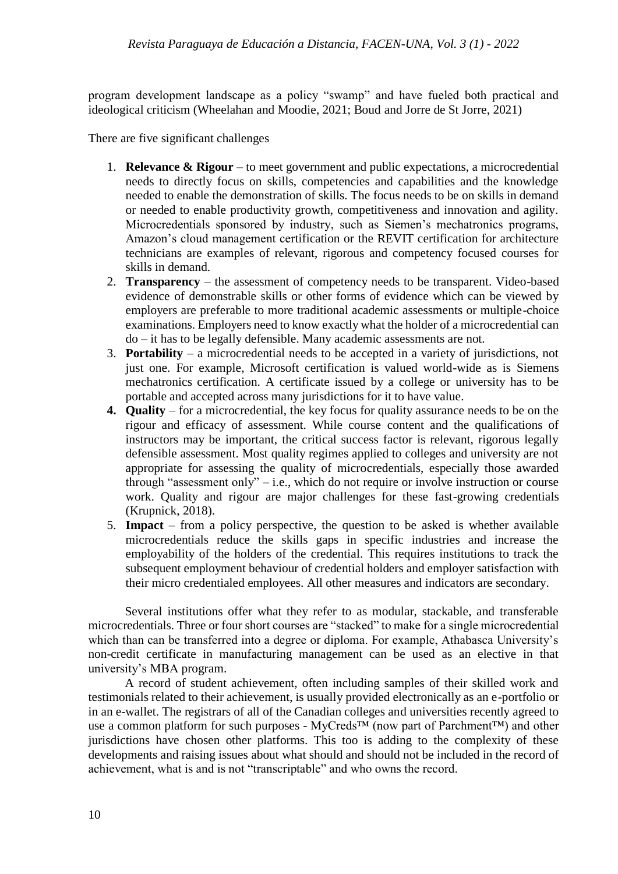program development landscape as a policy "swamp" and have fueled both practical and ideological criticism (Wheelahan and Moodie, 2021; Boud and Jorre de St Jorre, 2021)

There are five significant challenges

- 1. **Relevance & Rigour** to meet government and public expectations, a microcredential needs to directly focus on skills, competencies and capabilities and the knowledge needed to enable the demonstration of skills. The focus needs to be on skills in demand or needed to enable productivity growth, competitiveness and innovation and agility. Microcredentials sponsored by industry, such as Siemen's mechatronics programs, Amazon's cloud management certification or the REVIT certification for architecture technicians are examples of relevant, rigorous and competency focused courses for skills in demand.
- 2. **Transparency** the assessment of competency needs to be transparent. Video-based evidence of demonstrable skills or other forms of evidence which can be viewed by employers are preferable to more traditional academic assessments or multiple-choice examinations. Employers need to know exactly what the holder of a microcredential can do – it has to be legally defensible. Many academic assessments are not.
- 3. **Portability** a microcredential needs to be accepted in a variety of jurisdictions, not just one. For example, Microsoft certification is valued world-wide as is Siemens mechatronics certification. A certificate issued by a college or university has to be portable and accepted across many jurisdictions for it to have value.
- **4. Quality** for a microcredential, the key focus for quality assurance needs to be on the rigour and efficacy of assessment. While course content and the qualifications of instructors may be important, the critical success factor is relevant, rigorous legally defensible assessment. Most quality regimes applied to colleges and university are not appropriate for assessing the quality of microcredentials, especially those awarded through "assessment only" – i.e., which do not require or involve instruction or course work. Quality and rigour are major challenges for these fast-growing credentials (Krupnick, 2018).
- 5. **Impact** from a policy perspective, the question to be asked is whether available microcredentials reduce the skills gaps in specific industries and increase the employability of the holders of the credential. This requires institutions to track the subsequent employment behaviour of credential holders and employer satisfaction with their micro credentialed employees. All other measures and indicators are secondary.

Several institutions offer what they refer to as modular, stackable, and transferable microcredentials. Three or four short courses are "stacked" to make for a single microcredential which than can be transferred into a degree or diploma. For example, Athabasca University's non-credit certificate in manufacturing management can be used as an elective in that university's MBA program.

A record of student achievement, often including samples of their skilled work and testimonials related to their achievement, is usually provided electronically as an e-portfolio or in an e-wallet. The registrars of all of the Canadian colleges and universities recently agreed to use a common platform for such purposes - MyCreds™ (now part of Parchment™) and other jurisdictions have chosen other platforms. This too is adding to the complexity of these developments and raising issues about what should and should not be included in the record of achievement, what is and is not "transcriptable" and who owns the record.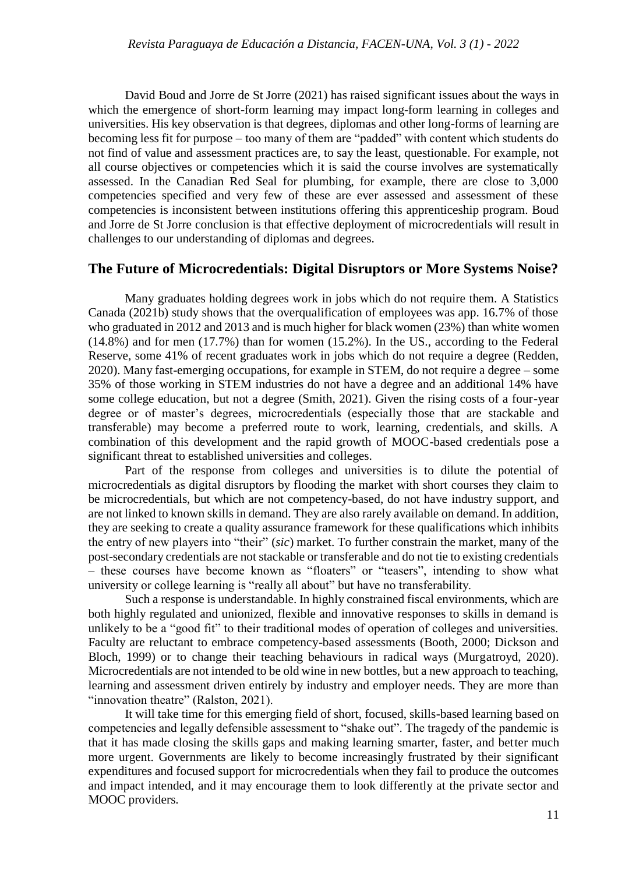David Boud and Jorre de St Jorre (2021) has raised significant issues about the ways in which the emergence of short-form learning may impact long-form learning in colleges and universities. His key observation is that degrees, diplomas and other long-forms of learning are becoming less fit for purpose – too many of them are "padded" with content which students do not find of value and assessment practices are, to say the least, questionable. For example, not all course objectives or competencies which it is said the course involves are systematically assessed. In the Canadian Red Seal for plumbing, for example, there are close to 3,000 competencies specified and very few of these are ever assessed and assessment of these competencies is inconsistent between institutions offering this apprenticeship program. Boud and Jorre de St Jorre conclusion is that effective deployment of microcredentials will result in challenges to our understanding of diplomas and degrees.

# **The Future of Microcredentials: Digital Disruptors or More Systems Noise?**

Many graduates holding degrees work in jobs which do not require them. A Statistics Canada (2021b) study shows that the overqualification of employees was app. 16.7% of those who graduated in 2012 and 2013 and is much higher for black women (23%) than white women (14.8%) and for men (17.7%) than for women (15.2%). In the US., according to the Federal Reserve, some 41% of recent graduates work in jobs which do not require a degree (Redden, 2020). Many fast-emerging occupations, for example in STEM, do not require a degree – some 35% of those working in STEM industries do not have a degree and an additional 14% have some college education, but not a degree (Smith, 2021). Given the rising costs of a four-year degree or of master's degrees, microcredentials (especially those that are stackable and transferable) may become a preferred route to work, learning, credentials, and skills. A combination of this development and the rapid growth of MOOC-based credentials pose a significant threat to established universities and colleges.

Part of the response from colleges and universities is to dilute the potential of microcredentials as digital disruptors by flooding the market with short courses they claim to be microcredentials, but which are not competency-based, do not have industry support, and are not linked to known skills in demand. They are also rarely available on demand. In addition, they are seeking to create a quality assurance framework for these qualifications which inhibits the entry of new players into "their" (*sic*) market. To further constrain the market, many of the post-secondary credentials are not stackable or transferable and do not tie to existing credentials – these courses have become known as "floaters" or "teasers", intending to show what university or college learning is "really all about" but have no transferability.

Such a response is understandable. In highly constrained fiscal environments, which are both highly regulated and unionized, flexible and innovative responses to skills in demand is unlikely to be a "good fit" to their traditional modes of operation of colleges and universities. Faculty are reluctant to embrace competency-based assessments (Booth, 2000; Dickson and Bloch, 1999) or to change their teaching behaviours in radical ways (Murgatroyd, 2020). Microcredentials are not intended to be old wine in new bottles, but a new approach to teaching, learning and assessment driven entirely by industry and employer needs. They are more than "innovation theatre" (Ralston, 2021).

It will take time for this emerging field of short, focused, skills-based learning based on competencies and legally defensible assessment to "shake out". The tragedy of the pandemic is that it has made closing the skills gaps and making learning smarter, faster, and better much more urgent. Governments are likely to become increasingly frustrated by their significant expenditures and focused support for microcredentials when they fail to produce the outcomes and impact intended, and it may encourage them to look differently at the private sector and MOOC providers.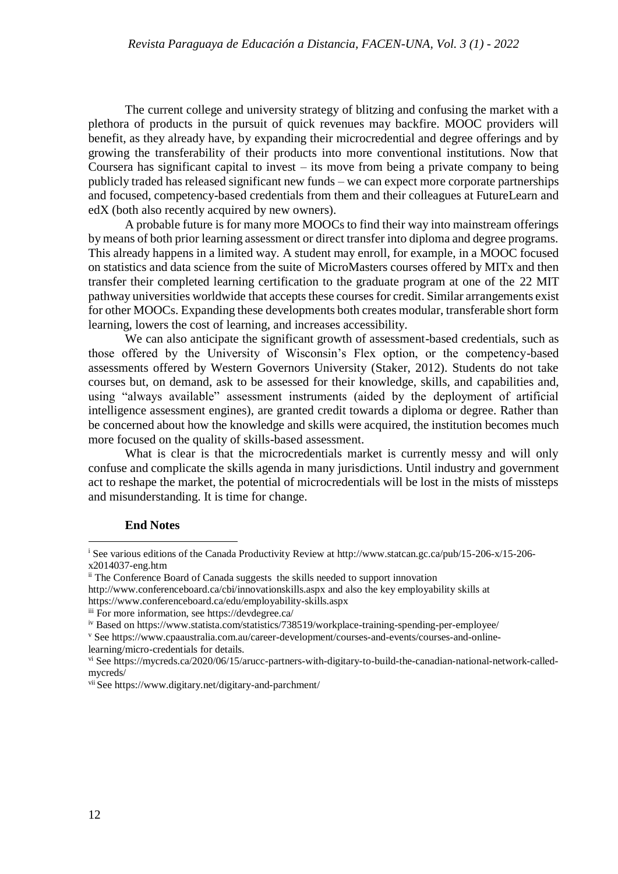The current college and university strategy of blitzing and confusing the market with a plethora of products in the pursuit of quick revenues may backfire. MOOC providers will benefit, as they already have, by expanding their microcredential and degree offerings and by growing the transferability of their products into more conventional institutions. Now that Coursera has significant capital to invest – its move from being a private company to being publicly traded has released significant new funds – we can expect more corporate partnerships and focused, competency-based credentials from them and their colleagues at FutureLearn and edX (both also recently acquired by new owners).

A probable future is for many more MOOCs to find their way into mainstream offerings by means of both prior learning assessment or direct transfer into diploma and degree programs. This already happens in a limited way. A student may enroll, for example, in a MOOC focused on statistics and data science from the suite of MicroMasters courses offered by MITx and then transfer their completed learning certification to the graduate program at one of the 22 MIT pathway universities worldwide that accepts these courses for credit. Similar arrangements exist for other MOOCs. Expanding these developments both creates modular, transferable short form learning, lowers the cost of learning, and increases accessibility.

We can also anticipate the significant growth of assessment-based credentials, such as those offered by the University of Wisconsin's Flex option, or the competency-based assessments offered by Western Governors University (Staker, 2012). Students do not take courses but, on demand, ask to be assessed for their knowledge, skills, and capabilities and, using "always available" assessment instruments (aided by the deployment of artificial intelligence assessment engines), are granted credit towards a diploma or degree. Rather than be concerned about how the knowledge and skills were acquired, the institution becomes much more focused on the quality of skills-based assessment.

What is clear is that the microcredentials market is currently messy and will only confuse and complicate the skills agenda in many jurisdictions. Until industry and government act to reshape the market, the potential of microcredentials will be lost in the mists of missteps and misunderstanding. It is time for change.

### **End Notes**

 $\overline{a}$ 

<sup>&</sup>lt;sup>i</sup> See various editions of the Canada Productivity Review at http://www.statcan.gc.ca/pub/15-206-x/15-206x2014037-eng.htm

ii The Conference Board of Canada suggests the skills needed to support innovation

<http://www.conferenceboard.ca/cbi/innovationskills.aspx> and also the key employability skills at <https://www.conferenceboard.ca/edu/employability-skills.aspx>

iii For more information, see<https://devdegree.ca/>

iv Based on<https://www.statista.com/statistics/738519/workplace-training-spending-per-employee/>

<sup>v</sup> Se[e https://www.cpaaustralia.com.au/career-development/courses-and-events/courses-and-online](https://www.cpaaustralia.com.au/career-development/courses-and-events/courses-and-online-learning/micro-credentials)[learning/micro-credentials](https://www.cpaaustralia.com.au/career-development/courses-and-events/courses-and-online-learning/micro-credentials) for details.

vi Se[e https://mycreds.ca/2020/06/15/arucc-partners-with-digitary-to-build-the-canadian-national-network-called](https://mycreds.ca/2020/06/15/arucc-partners-with-digitary-to-build-the-canadian-national-network-called-mycreds/)[mycreds/](https://mycreds.ca/2020/06/15/arucc-partners-with-digitary-to-build-the-canadian-national-network-called-mycreds/)

vii See<https://www.digitary.net/digitary-and-parchment/>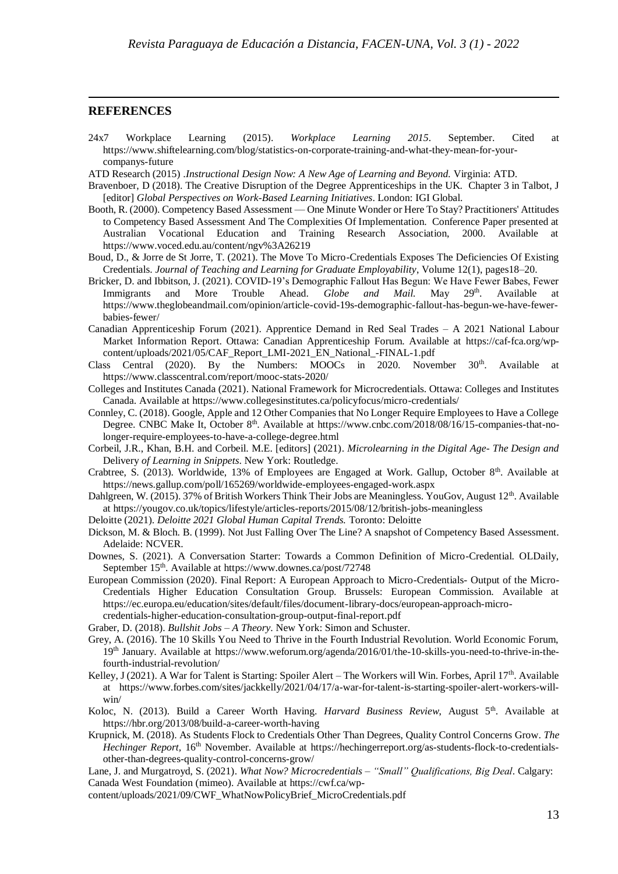#### **REFERENCES**

 $\overline{a}$ 

- 24x7 Workplace Learning (2015). *Workplace Learning 2015*. September. Cited at [https://www.shiftelearning.com/blog/statistics-on-corporate-training-and-what-they-mean-for-your](https://www.shiftelearning.com/blog/statistics-on-corporate-training-and-what-they-mean-for-your-companys-future)[companys-future](https://www.shiftelearning.com/blog/statistics-on-corporate-training-and-what-they-mean-for-your-companys-future)
- ATD Research (2015) .*Instructional Design Now: A New Age of Learning and Beyond.* Virginia: ATD.
- Bravenboer, D (2018). The Creative Disruption of the Degree Apprenticeships in the UK. Chapter 3 in Talbot, J [editor] *Global Perspectives on Work-Based Learning Initiatives*. London: IGI Global.
- Booth, R. (2000). Competency Based Assessment One Minute Wonder or Here To Stay? Practitioners' Attitudes to Competency Based Assessment And The Complexities Of Implementation. Conference Paper presented at Australian Vocational Education and Training Research Association, 2000. Available at <https://www.voced.edu.au/content/ngv%3A26219>
- Boud, D., & Jorre de St Jorre, T. (2021). The Move To Micro-Credentials Exposes The Deficiencies Of Existing Credentials. *Journal of Teaching and Learning for Graduate Employability*, Volume 12(1), pages18–20.
- Bricker, D. and Ibbitson, J. (2021). COVID-19's Demographic Fallout Has Begun: We Have Fewer Babes, Fewer Immigrants and More Trouble Ahead. *Globe and Mail*. May 29<sup>th</sup>. Available at Immigrants and More Trouble Ahead. *Globe and Mail*. May 29<sup>th</sup>. Available at [https://www.theglobeandmail.com/opinion/article-covid-19s-demographic-fallout-has-begun-we-have-fewer](https://www.theglobeandmail.com/opinion/article-covid-19s-demographic-fallout-has-begun-we-have-fewer-babies-fewer/)[babies-fewer/](https://www.theglobeandmail.com/opinion/article-covid-19s-demographic-fallout-has-begun-we-have-fewer-babies-fewer/)
- Canadian Apprenticeship Forum (2021). Apprentice Demand in Red Seal Trades A 2021 National Labour Market Information Report. Ottawa: Canadian Apprenticeship Forum. Available at [https://caf-fca.org/wp](https://caf-fca.org/wp-content/uploads/2021/05/CAF_Report_LMI-2021_EN_National_-FINAL-1.pdf)[content/uploads/2021/05/CAF\\_Report\\_LMI-2021\\_EN\\_National\\_-FINAL-1.pdf](https://caf-fca.org/wp-content/uploads/2021/05/CAF_Report_LMI-2021_EN_National_-FINAL-1.pdf)
- Class Central (2020). By the Numbers: MOOCs in 2020. November  $30<sup>th</sup>$ . Available at <https://www.classcentral.com/report/mooc-stats-2020/>
- Colleges and Institutes Canada (2021). National Framework for Microcredentials. Ottawa: Colleges and Institutes Canada. Available at https://www.collegesinstitutes.ca/policyfocus/micro-credentials/
- Connley, C. (2018). Google, Apple and 12 Other Companies that No Longer Require Employees to Have a College Degree. CNBC Make It, October 8<sup>th</sup>. Available at [https://www.cnbc.com/2018/08/16/15-companies-that-no](https://www.cnbc.com/2018/08/16/15-companies-that-no-longer-require-employees-to-have-a-college-degree.html)[longer-require-employees-to-have-a-college-degree.html](https://www.cnbc.com/2018/08/16/15-companies-that-no-longer-require-employees-to-have-a-college-degree.html)
- Corbeil, J.R., Khan, B.H. and Corbeil. M.E. [editors] (2021). *Microlearning in the Digital Age- The Design and*  Delivery *of Learning in Snippets*. New York: Routledge.
- Crabtree, S. (2013). Worldwide, 13% of Employees are Engaged at Work. Gallup, October 8th. Available at <https://news.gallup.com/poll/165269/worldwide-employees-engaged-work.aspx>
- Dahlgreen, W. (2015). 37% of British Workers Think Their Jobs are Meaningless. YouGov, August 12<sup>th</sup>. Available at<https://yougov.co.uk/topics/lifestyle/articles-reports/2015/08/12/british-jobs-meaningless>
- Deloitte (2021). *Deloitte 2021 Global Human Capital Trends.* Toronto: Deloitte
- Dickson, M. & Bloch. B. (1999). Not Just Falling Over The Line? A snapshot of Competency Based Assessment. Adelaide: NCVER.
- Downes, S. (2021). A Conversation Starter: Towards a Common Definition of Micro-Credential. OLDaily, September 15<sup>th</sup>. Available at<https://www.downes.ca/post/72748>
- European Commission (2020). Final Report: A European Approach to Micro-Credentials- Output of the Micro-Credentials Higher Education Consultation Group. Brussels: European Commission. Available at [https://ec.europa.eu/education/sites/default/files/document-library-docs/european-approach-micro](https://ec.europa.eu/education/sites/default/files/document-library-docs/european-approach-micro-credentials-higher-education-consultation-group-output-final-report.pdf)[credentials-higher-education-consultation-group-output-final-report.pdf](https://ec.europa.eu/education/sites/default/files/document-library-docs/european-approach-micro-credentials-higher-education-consultation-group-output-final-report.pdf)
- Graber, D. (2018). *Bullshit Jobs – A Theory*. New York: Simon and Schuster.
- Grey, A. (2016). The 10 Skills You Need to Thrive in the Fourth Industrial Revolution. World Economic Forum, 19th January. Available at [https://www.weforum.org/agenda/2016/01/the-10-skills-you-need-to-thrive-in-the](https://www.weforum.org/agenda/2016/01/the-10-skills-you-need-to-thrive-in-the-fourth-industrial-revolution/)[fourth-industrial-revolution/](https://www.weforum.org/agenda/2016/01/the-10-skills-you-need-to-thrive-in-the-fourth-industrial-revolution/)
- Kelley, J (2021). A War for Talent is Starting: Spoiler Alert The Workers will Win. Forbes, April 17<sup>th</sup>. Available at [https://www.forbes.com/sites/jackkelly/2021/04/17/a-war-for-talent-is-starting-spoiler-alert-workers-will](https://www.forbes.com/sites/jackkelly/2021/04/17/a-war-for-talent-is-starting-spoiler-alert-workers-will-win/)[win/](https://www.forbes.com/sites/jackkelly/2021/04/17/a-war-for-talent-is-starting-spoiler-alert-workers-will-win/)
- Koloc, N. (2013). Build a Career Worth Having. *Harvard Business Review*, August 5<sup>th</sup>. Available at <https://hbr.org/2013/08/build-a-career-worth-having>
- Krupnick, M. (2018). As Students Flock to Credentials Other Than Degrees, Quality Control Concerns Grow. *The Hechinger Report,* 16<sup>th</sup> November. Available at [https://hechingerreport.org/as-students-flock-to-credentials](https://hechingerreport.org/as-students-flock-to-credentials-other-than-degrees-quality-control-concerns-grow/)[other-than-degrees-quality-control-concerns-grow/](https://hechingerreport.org/as-students-flock-to-credentials-other-than-degrees-quality-control-concerns-grow/)

Lane, J. and Murgatroyd, S. (2021). *What Now? Microcredentials – "Small" Qualifications, Big Deal*. Calgary: Canada West Foundation (mimeo). Available at [https://cwf.ca/wp-](https://cwf.ca/wp-content/uploads/2021/09/CWF_WhatNowPolicyBrief_MicroCredentials.pdf)

[content/uploads/2021/09/CWF\\_WhatNowPolicyBrief\\_MicroCredentials.pdf](https://cwf.ca/wp-content/uploads/2021/09/CWF_WhatNowPolicyBrief_MicroCredentials.pdf)